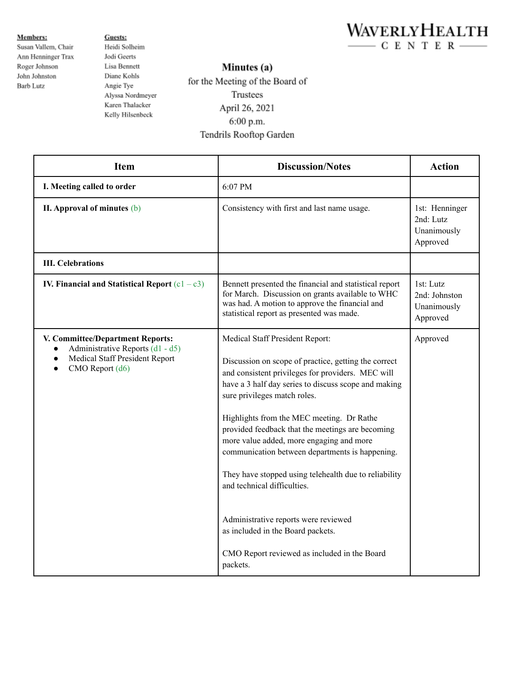

**Members:** Susan Vallem, Chair Ann Henninger Trax Roger Johnson John Johnston Barb Lutz

Guests: Heidi Solheim Jodi Geerts Lisa Bennett Diane Kohls Angie Tye Alyssa Nordmeyer Karen Thalacker Kelly Hilsenbeck

## Minutes (a)

for the Meeting of the Board of Trustees April 26, 2021 6:00 p.m. Tendrils Rooftop Garden

| <b>Item</b>                                                                                                                                                      | <b>Discussion/Notes</b>                                                                                                                                                                                                                                                                                                                                                                                                                                                                                                                                                                                                                                               | <b>Action</b>                                          |
|------------------------------------------------------------------------------------------------------------------------------------------------------------------|-----------------------------------------------------------------------------------------------------------------------------------------------------------------------------------------------------------------------------------------------------------------------------------------------------------------------------------------------------------------------------------------------------------------------------------------------------------------------------------------------------------------------------------------------------------------------------------------------------------------------------------------------------------------------|--------------------------------------------------------|
| I. Meeting called to order                                                                                                                                       | 6:07 PM                                                                                                                                                                                                                                                                                                                                                                                                                                                                                                                                                                                                                                                               |                                                        |
| II. Approval of minutes (b)                                                                                                                                      | Consistency with first and last name usage.                                                                                                                                                                                                                                                                                                                                                                                                                                                                                                                                                                                                                           | 1st: Henninger<br>2nd: Lutz<br>Unanimously<br>Approved |
| <b>III. Celebrations</b>                                                                                                                                         |                                                                                                                                                                                                                                                                                                                                                                                                                                                                                                                                                                                                                                                                       |                                                        |
| IV. Financial and Statistical Report $(c1 - c3)$                                                                                                                 | Bennett presented the financial and statistical report<br>for March. Discussion on grants available to WHC<br>was had. A motion to approve the financial and<br>statistical report as presented was made.                                                                                                                                                                                                                                                                                                                                                                                                                                                             | 1st: Lutz<br>2nd: Johnston<br>Unanimously<br>Approved  |
| V. Committee/Department Reports:<br>Administrative Reports (d1 - d5)<br>$\bullet$<br>Medical Staff President Report<br>$\bullet$<br>CMO Report (d6)<br>$\bullet$ | Medical Staff President Report:<br>Discussion on scope of practice, getting the correct<br>and consistent privileges for providers. MEC will<br>have a 3 half day series to discuss scope and making<br>sure privileges match roles.<br>Highlights from the MEC meeting. Dr Rathe<br>provided feedback that the meetings are becoming<br>more value added, more engaging and more<br>communication between departments is happening.<br>They have stopped using telehealth due to reliability<br>and technical difficulties.<br>Administrative reports were reviewed<br>as included in the Board packets.<br>CMO Report reviewed as included in the Board<br>packets. | Approved                                               |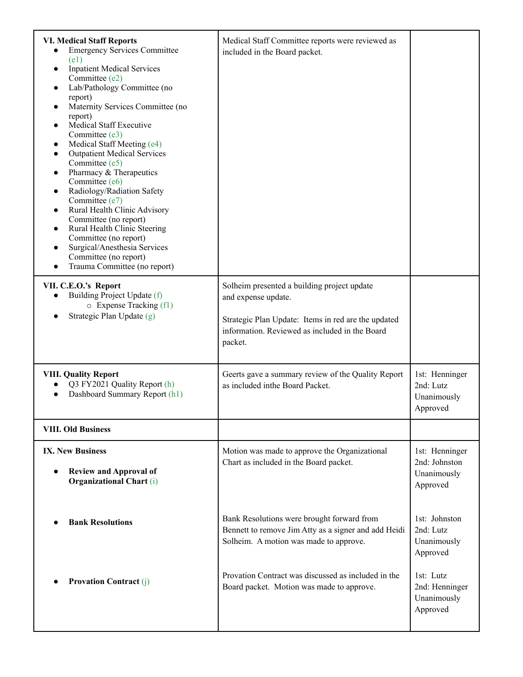| <b>VI. Medical Staff Reports</b><br><b>Emergency Services Committee</b><br>(e1)<br><b>Inpatient Medical Services</b><br>$\bullet$<br>Committee (e2)<br>Lab/Pathology Committee (no<br>$\bullet$<br>report)<br>Maternity Services Committee (no<br>$\bullet$<br>report)<br><b>Medical Staff Executive</b><br>$\bullet$<br>Committee (e3)<br>Medical Staff Meeting (e4)<br>$\bullet$<br><b>Outpatient Medical Services</b><br>$\bullet$<br>Committee (e5)<br>Pharmacy & Therapeutics<br>$\bullet$<br>Committee (e6)<br>Radiology/Radiation Safety<br>$\bullet$<br>Committee (e7)<br>Rural Health Clinic Advisory<br>$\bullet$<br>Committee (no report)<br>Rural Health Clinic Steering<br>$\bullet$<br>Committee (no report)<br>Surgical/Anesthesia Services<br>$\bullet$<br>Committee (no report)<br>Trauma Committee (no report)<br>$\bullet$ | Medical Staff Committee reports were reviewed as<br>included in the Board packet.                                                                                                      |                                                            |
|-----------------------------------------------------------------------------------------------------------------------------------------------------------------------------------------------------------------------------------------------------------------------------------------------------------------------------------------------------------------------------------------------------------------------------------------------------------------------------------------------------------------------------------------------------------------------------------------------------------------------------------------------------------------------------------------------------------------------------------------------------------------------------------------------------------------------------------------------|----------------------------------------------------------------------------------------------------------------------------------------------------------------------------------------|------------------------------------------------------------|
| VII. C.E.O.'s Report<br>Building Project Update (f)<br>$\circ$ Expense Tracking (f1)<br>Strategic Plan Update (g)                                                                                                                                                                                                                                                                                                                                                                                                                                                                                                                                                                                                                                                                                                                             | Solheim presented a building project update<br>and expense update.<br>Strategic Plan Update: Items in red are the updated<br>information. Reviewed as included in the Board<br>packet. |                                                            |
| <b>VIII. Quality Report</b><br>Q3 FY2021 Quality Report (h)<br>Dashboard Summary Report (h1)                                                                                                                                                                                                                                                                                                                                                                                                                                                                                                                                                                                                                                                                                                                                                  | Geerts gave a summary review of the Quality Report<br>as included in the Board Packet.                                                                                                 | 1st: Henninger<br>2nd: Lutz<br>Unanimously<br>Approved     |
| <b>VIII. Old Business</b>                                                                                                                                                                                                                                                                                                                                                                                                                                                                                                                                                                                                                                                                                                                                                                                                                     |                                                                                                                                                                                        |                                                            |
| <b>IX. New Business</b><br><b>Review and Approval of</b><br><b>Organizational Chart (i)</b>                                                                                                                                                                                                                                                                                                                                                                                                                                                                                                                                                                                                                                                                                                                                                   | Motion was made to approve the Organizational<br>Chart as included in the Board packet.                                                                                                | 1st: Henninger<br>2nd: Johnston<br>Unanimously<br>Approved |
| <b>Bank Resolutions</b>                                                                                                                                                                                                                                                                                                                                                                                                                                                                                                                                                                                                                                                                                                                                                                                                                       | Bank Resolutions were brought forward from<br>Bennett to remove Jim Atty as a signer and add Heidi<br>Solheim. A motion was made to approve.                                           | 1st: Johnston<br>2nd: Lutz<br>Unanimously<br>Approved      |
| <b>Provation Contract (j)</b>                                                                                                                                                                                                                                                                                                                                                                                                                                                                                                                                                                                                                                                                                                                                                                                                                 | Provation Contract was discussed as included in the<br>Board packet. Motion was made to approve.                                                                                       | 1st: Lutz<br>2nd: Henninger<br>Unanimously<br>Approved     |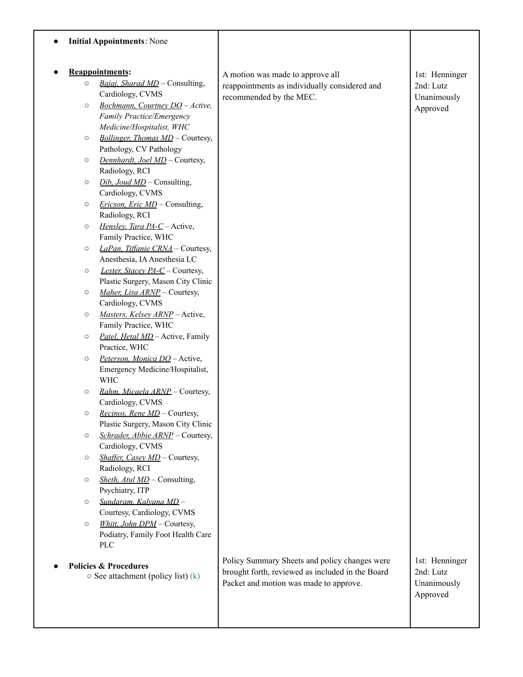|                        |         | <b>Initial Appointments: None</b>                                              |                                                                                                                                             |                                                        |
|------------------------|---------|--------------------------------------------------------------------------------|---------------------------------------------------------------------------------------------------------------------------------------------|--------------------------------------------------------|
| <b>Reappointments:</b> |         |                                                                                | A motion was made to approve all                                                                                                            | 1st: Henninger                                         |
|                        | $\circ$ | Bajaj, Sharad MD - Consulting,<br>Cardiology, CVMS                             | reappointments as individually considered and<br>recommended by the MEC.                                                                    | 2nd: Lutz<br>Unanimously                               |
|                        | $\circ$ | Bochmann, Courtney DO - Active,<br>Family Practice/Emergency                   |                                                                                                                                             | Approved                                               |
|                        |         | Medicine/Hospitalist, WHC                                                      |                                                                                                                                             |                                                        |
|                        | $\circ$ | Bollinger, Thomas MD - Courtesy,<br>Pathology, CV Pathology                    |                                                                                                                                             |                                                        |
|                        | $\circ$ | Dennhardt, Joel MD - Courtesy,                                                 |                                                                                                                                             |                                                        |
|                        | $\circ$ | Radiology, RCI<br>$Dib$ , Joud MD – Consulting,<br>Cardiology, CVMS            |                                                                                                                                             |                                                        |
|                        | $\circ$ | <i>Ericson, Eric MD</i> – Consulting,                                          |                                                                                                                                             |                                                        |
|                        | $\circ$ | Radiology, RCI<br>Hensley, Tara PA-C - Active,                                 |                                                                                                                                             |                                                        |
|                        | $\circ$ | Family Practice, WHC<br>LaPan. Tiffanie CRNA - Courtesy,                       |                                                                                                                                             |                                                        |
|                        | $\circ$ | Anesthesia, IA Anesthesia LC<br>Lester, Stacey PA-C - Courtesy,                |                                                                                                                                             |                                                        |
|                        | $\circ$ | Plastic Surgery, Mason City Clinic<br>Maher, Lisa ARNP - Courtesy,             |                                                                                                                                             |                                                        |
|                        | $\circ$ | Cardiology, CVMS<br>Masters, Kelsey ARNP - Active,                             |                                                                                                                                             |                                                        |
|                        |         | Family Practice, WHC                                                           |                                                                                                                                             |                                                        |
|                        | $\circ$ | Patel. Hetal MD - Active, Family<br>Practice, WHC                              |                                                                                                                                             |                                                        |
|                        | $\circ$ | Peterson, Monica DO - Active,<br>Emergency Medicine/Hospitalist,<br><b>WHC</b> |                                                                                                                                             |                                                        |
|                        | $\circ$ | Rahm. Micaela ARNP - Courtesy,<br>Cardiology, CVMS                             |                                                                                                                                             |                                                        |
|                        | $\circ$ | <i>Recinos, Rene MD – Courtesy,</i><br>Plastic Surgery, Mason City Clinic      |                                                                                                                                             |                                                        |
|                        | $\circ$ | Schrader, Abbie ARNP - Courtesy,                                               |                                                                                                                                             |                                                        |
|                        | $\circ$ | Cardiology, CVMS<br>Shaffer, Casey MD - Courtesy,                              |                                                                                                                                             |                                                        |
|                        | $\circ$ | Radiology, RCI<br><i>Sheth, Atul MD</i> – Consulting,                          |                                                                                                                                             |                                                        |
|                        | $\circ$ | Psychiatry, ITP<br>Sundaram. Kalyana MD-                                       |                                                                                                                                             |                                                        |
|                        |         | Courtesy, Cardiology, CVMS                                                     |                                                                                                                                             |                                                        |
|                        | $\circ$ | Whitt, John DPM - Courtesy,<br>Podiatry, Family Foot Health Care<br><b>PLC</b> |                                                                                                                                             |                                                        |
|                        |         | <b>Policies &amp; Procedures</b><br>$\circ$ See attachment (policy list) (k)   | Policy Summary Sheets and policy changes were<br>brought forth, reviewed as included in the Board<br>Packet and motion was made to approve. | 1st: Henninger<br>2nd: Lutz<br>Unanimously<br>Approved |
|                        |         |                                                                                |                                                                                                                                             |                                                        |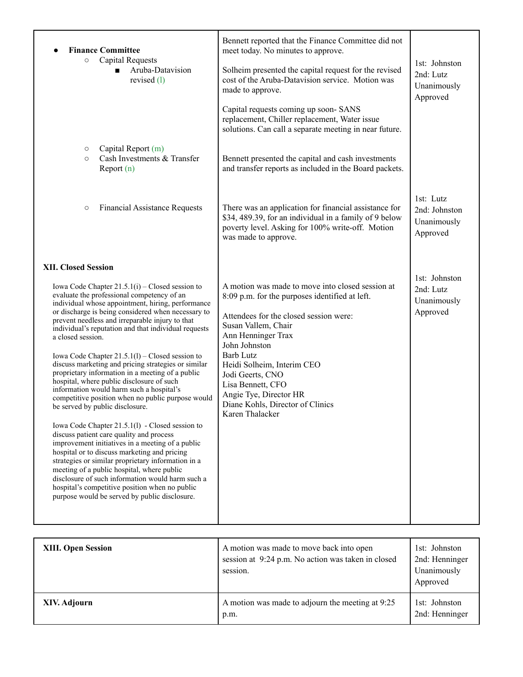| <b>Finance Committee</b><br><b>Capital Requests</b><br>$\circ$<br>Aruba-Datavision<br>$\blacksquare$<br>revised $(l)$                                                                                                                                                                                                                                                                                                                                                                                                                                                                                                                                                                                                                                                                                                                                                                                                                                                                                                                                                                                                                                                                   | Bennett reported that the Finance Committee did not<br>meet today. No minutes to approve.<br>Solheim presented the capital request for the revised<br>cost of the Aruba-Datavision service. Motion was<br>made to approve.<br>Capital requests coming up soon-SANS<br>replacement, Chiller replacement, Water issue<br>solutions. Can call a separate meeting in near future.          | 1st: Johnston<br>2nd: Lutz<br>Unanimously<br>Approved |
|-----------------------------------------------------------------------------------------------------------------------------------------------------------------------------------------------------------------------------------------------------------------------------------------------------------------------------------------------------------------------------------------------------------------------------------------------------------------------------------------------------------------------------------------------------------------------------------------------------------------------------------------------------------------------------------------------------------------------------------------------------------------------------------------------------------------------------------------------------------------------------------------------------------------------------------------------------------------------------------------------------------------------------------------------------------------------------------------------------------------------------------------------------------------------------------------|----------------------------------------------------------------------------------------------------------------------------------------------------------------------------------------------------------------------------------------------------------------------------------------------------------------------------------------------------------------------------------------|-------------------------------------------------------|
| Capital Report (m)<br>$\circ$<br>Cash Investments & Transfer<br>$\circ$<br>Report $(n)$                                                                                                                                                                                                                                                                                                                                                                                                                                                                                                                                                                                                                                                                                                                                                                                                                                                                                                                                                                                                                                                                                                 | Bennett presented the capital and cash investments<br>and transfer reports as included in the Board packets.                                                                                                                                                                                                                                                                           |                                                       |
| <b>Financial Assistance Requests</b><br>$\circ$                                                                                                                                                                                                                                                                                                                                                                                                                                                                                                                                                                                                                                                                                                                                                                                                                                                                                                                                                                                                                                                                                                                                         | There was an application for financial assistance for<br>\$34, 489.39, for an individual in a family of 9 below<br>poverty level. Asking for 100% write-off. Motion<br>was made to approve.                                                                                                                                                                                            | 1st: Lutz<br>2nd: Johnston<br>Unanimously<br>Approved |
| <b>XII. Closed Session</b><br>Iowa Code Chapter $21.5.1(i)$ – Closed session to<br>evaluate the professional competency of an<br>individual whose appointment, hiring, performance<br>or discharge is being considered when necessary to<br>prevent needless and irreparable injury to that<br>individual's reputation and that individual requests<br>a closed session.<br>Iowa Code Chapter $21.5.1(l)$ – Closed session to<br>discuss marketing and pricing strategies or similar<br>proprietary information in a meeting of a public<br>hospital, where public disclosure of such<br>information would harm such a hospital's<br>competitive position when no public purpose would<br>be served by public disclosure.<br>Iowa Code Chapter 21.5.1(1) - Closed session to<br>discuss patient care quality and process<br>improvement initiatives in a meeting of a public<br>hospital or to discuss marketing and pricing<br>strategies or similar proprietary information in a<br>meeting of a public hospital, where public<br>disclosure of such information would harm such a<br>hospital's competitive position when no public<br>purpose would be served by public disclosure. | A motion was made to move into closed session at<br>8:09 p.m. for the purposes identified at left.<br>Attendees for the closed session were:<br>Susan Vallem, Chair<br>Ann Henninger Trax<br>John Johnston<br><b>Barb Lutz</b><br>Heidi Solheim, Interim CEO<br>Jodi Geerts, CNO<br>Lisa Bennett, CFO<br>Angie Tye, Director HR<br>Diane Kohls, Director of Clinics<br>Karen Thalacker | 1st: Johnston<br>2nd: Lutz<br>Unanimously<br>Approved |

| <b>XIII. Open Session</b> | A motion was made to move back into open<br>session at 9:24 p.m. No action was taken in closed<br>session. | 1st: Johnston<br>2nd: Henninger<br>Unanimously<br>Approved |
|---------------------------|------------------------------------------------------------------------------------------------------------|------------------------------------------------------------|
| XIV. Adjourn              | A motion was made to adjourn the meeting at 9:25<br>p.m.                                                   | 1st: Johnston<br>2nd: Henninger                            |